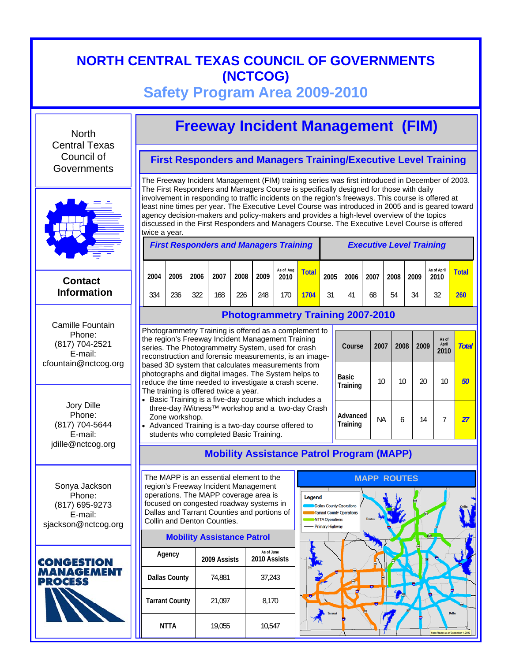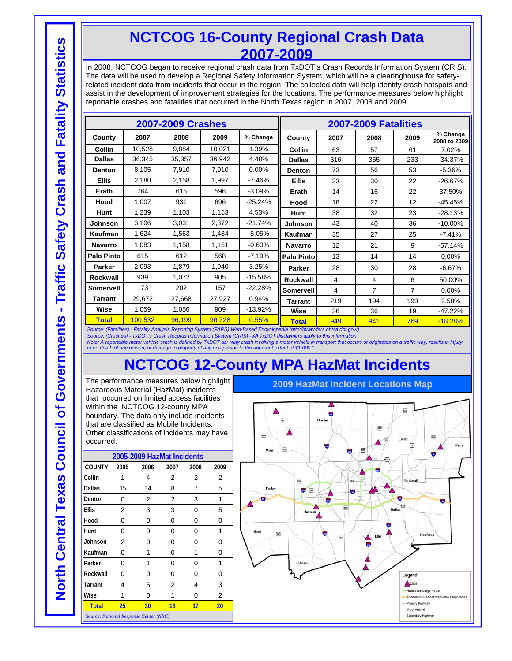## **NCTCOG 16-County Regional Crash Data 2007-2009**

In 2008, NCTCOG began to receive regional crash data from TxDOT's Crash Records Information System (CRIS). The data will be used to develop a Regional Safety Information System, which will be a clearinghouse for safetyrelated incident data from incidents that occur in the region. The collected data will help identify crash hotspots and assist in the development of improvement strategies for the locations. The performance measures below highlight reportable crashes and fatalities that occurred in the North Texas region in 2007, 2008 and 2009.

| <b>2007-2009 Crashes</b>                                                                                                 |         |        |        | 2007-2009 Fatalities |                   |                |      |                |                          |
|--------------------------------------------------------------------------------------------------------------------------|---------|--------|--------|----------------------|-------------------|----------------|------|----------------|--------------------------|
| County                                                                                                                   | 2007    | 2008   | 2009   | % Change             | County            | 2007           | 2008 | 2009           | % Change<br>2008 to 2009 |
| Collin                                                                                                                   | 10,528  | 9.884  | 10,021 | 1.39%                | Collin            | 63             | 57   | 61             | 7.02%                    |
| <b>Dallas</b>                                                                                                            | 36,345  | 35,357 | 36,942 | 4.48%                | <b>Dallas</b>     | 316            | 355  | 233            | $-34.37%$                |
| <b>Denton</b>                                                                                                            | 8,105   | 7,910  | 7,910  | 0.00%                | <b>Denton</b>     | 73             | 56   | 53             | $-5.36%$                 |
| <b>Ellis</b>                                                                                                             | 2,180   | 2,158  | 1,997  | $-7.46%$             | <b>Ellis</b>      | 33             | 30   | 22             | $-26.67%$                |
| Erath                                                                                                                    | 764     | 615    | 596    | $-3.09%$             | Erath             | 14             | 16   | 22             | 37.50%                   |
| Hood                                                                                                                     | 1,007   | 931    | 696    | $-25.24%$            | Hood              | 18             | 22   | 12             | $-45.45%$                |
| Hunt                                                                                                                     | 1,239   | 1,103  | 1,153  | 4.53%                | <b>Hunt</b>       | 38             | 32   | 23             | $-28.13%$                |
| Johnson                                                                                                                  | 3,106   | 3,031  | 2,372  | $-21.74%$            | <b>Johnson</b>    | 43             | 40   | 36             | $-10.00\%$               |
| Kaufman                                                                                                                  | 1,624   | 1,563  | 1,484  | $-5.05%$             | Kaufman           | 35             | 27   | 25             | $-7.41%$                 |
| Navarro                                                                                                                  | 1,083   | 1,158  | 1,151  | $-0.60%$             | <b>Navarro</b>    | 12             | 21   | 9              | $-57.14%$                |
| Palo Pinto                                                                                                               | 615     | 612    | 568    | $-7.19%$             | <b>Palo Pinto</b> | 13             | 14   | 14             | $0.00\%$                 |
| Parker                                                                                                                   | 2,093   | 1,879  | 1,940  | 3.25%                | Parker            | 28             | 30   | 28             | $-6.67%$                 |
| Rockwall                                                                                                                 | 939     | 1,072  | 905    | $-15.58%$            | <b>Rockwall</b>   | $\overline{4}$ | 4    | 6              | 50.00%                   |
| <b>Somervell</b>                                                                                                         | 173     | 202    | 157    | $-22.28%$            | Somervell         | 4              | 7    | $\overline{7}$ | $0.00\%$                 |
| <b>Tarrant</b>                                                                                                           | 29,672  | 27,668 | 27,927 | 0.94%                | <b>Tarrant</b>    | 219            | 194  | 199            | 2.58%                    |
| Wise                                                                                                                     | 1,059   | 1,056  | 909    | -13.92%              | Wise              | 36             | 36   | 19             | $-47.22%$                |
| <b>Total</b>                                                                                                             | 100,532 | 96,199 | 96.728 | 0.55%                | <b>Total</b>      | 949            | 941  | 769            | $-18.28%$                |
| Source: (Fatalities) - Fatality Analysis Reporting System (FARS) Web-Based Encyclopedia (http://www-fars.nhtsa.dot.gov/) |         |        |        |                      |                   |                |      |                |                          |

*Source: (Crashes) - TxDOT's Crash Records Information System (CRIS) - All TxDOT disclaimers apply to this information.* 

Note: A reportable motor vehicle crash is defined by TxDOT as: "Any crash involving a motor vehicle in transport that occurs or originates on a traffic way, results in injury<br>to or death of any person, or damage to propert

## **NCTCOG 12-County MPA HazMat Incidents**

The performance measures below highlight Hazardous Material (HazMat) incidents that occurred on limited access facilities within the NCTCOG 12-county MPA boundary. The data only include incidents that are classified as Mobile Incidents. Other classifications of incidents may have occurred.

| 2005-2009 HazMat Incidents             |                |          |                          |                          |                |  |
|----------------------------------------|----------------|----------|--------------------------|--------------------------|----------------|--|
| <b>COUNTY</b>                          | 2005           | 2006     | 2007                     | 2008                     | 2009           |  |
| Collin                                 | 1              | 4        | $\overline{\mathcal{L}}$ | $\overline{\mathcal{L}}$ | $\overline{2}$ |  |
| <b>Dallas</b>                          | 15             | 14       | 8                        | 7                        | 5              |  |
| Denton                                 | 0              | 2        | 2                        | 3                        | 1              |  |
| <b>Ellis</b>                           | 2              | 3        | 3                        | 0                        | 5              |  |
| Hood                                   | 0              | 0        | 0                        | 0                        | 0              |  |
| Hunt                                   | $\Omega$       | $\Omega$ | 0                        | $\Omega$                 | 1              |  |
| Johnson                                | $\overline{2}$ | 0        | 0                        | 0                        | 0              |  |
| Kaufman                                | 0              | 1        | 0                        | 1                        | 0              |  |
| Parker                                 | 0              | 1        | 0                        | 0                        | 1              |  |
| Rockwall                               | 0              | 0        | 0                        | 0                        | 0              |  |
| Tarrant                                | 4              | 5        | 2                        | 4                        | 3              |  |
| Wise                                   | 1              | 0        | 1                        | 0                        | $\overline{2}$ |  |
| <b>Total</b>                           | 25             | 30       | 18                       | 17                       | 20             |  |
| Source: National Response Center (NRC) |                |          |                          |                          |                |  |

 $\overline{121}$ Dent 蹦 Sio Wise  $\overline{\mathrm{res}}$ 扁 Parke  $\overline{\mathbf{m}}$ ä m 篩 Legend  $\triangle$  2009 Hazardous Cargo Route Transuranic Radioactive Waste Cargo Primary Highway Major Arterial Secondary Highway

**2009 HazMat Incident Locations Map**